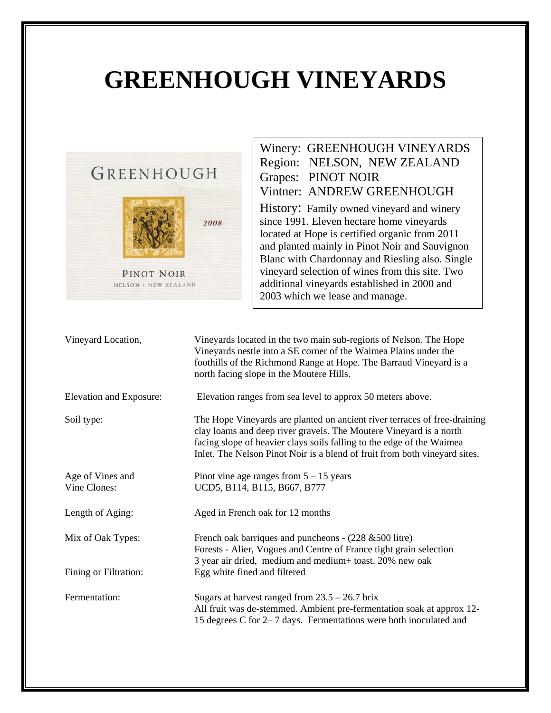## **GREENHOUGH VINEYARDS**



Winery: GREENHOUGH VINEYARDS Region: NELSON, NEW ZEALAND Grapes: PINOT NOIR Vintner: ANDREW GREENHOUGH History: Family owned vineyard and winery since 1991. Eleven hectare home vineyards located at Hope is certified organic from 2011 and planted mainly in Pinot Noir and Sauvignon Blanc with Chardonnay and Riesling also. Single vineyard selection of wines from this site. Two additional vineyards established in 2000 and 2003 which we lease and manage.

| Vineyard Location,               | Vineyards located in the two main sub-regions of Nelson. The Hope<br>Vineyards nestle into a SE corner of the Waimea Plains under the<br>foothills of the Richmond Range at Hope. The Barraud Vineyard is a<br>north facing slope in the Moutere Hills.                                                |
|----------------------------------|--------------------------------------------------------------------------------------------------------------------------------------------------------------------------------------------------------------------------------------------------------------------------------------------------------|
| Elevation and Exposure:          | Elevation ranges from sea level to approx 50 meters above.                                                                                                                                                                                                                                             |
| Soil type:                       | The Hope Vineyards are planted on ancient river terraces of free-draining<br>clay loams and deep river gravels. The Moutere Vineyard is a north<br>facing slope of heavier clays soils falling to the edge of the Waimea<br>Inlet. The Nelson Pinot Noir is a blend of fruit from both vineyard sites. |
| Age of Vines and<br>Vine Clones: | Pinot vine age ranges from $5 - 15$ years<br>UCD5, B114, B115, B667, B777                                                                                                                                                                                                                              |
| Length of Aging:                 | Aged in French oak for 12 months                                                                                                                                                                                                                                                                       |
| Mix of Oak Types:                | French oak barriques and puncheons - $(228 \& 500$ litre)<br>Forests - Alier, Vogues and Centre of France tight grain selection<br>3 year air dried, medium and medium+ toast. 20% new oak                                                                                                             |
| Fining or Filtration:            | Egg white fined and filtered                                                                                                                                                                                                                                                                           |
| Fermentation:                    | Sugars at harvest ranged from $23.5 - 26.7$ brix<br>All fruit was de-stemmed. Ambient pre-fermentation soak at approx 12-<br>15 degrees C for 2–7 days. Fermentations were both inoculated and                                                                                                         |